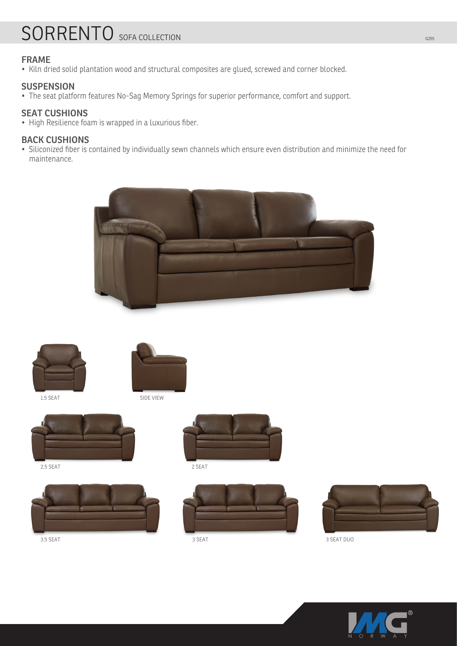# SORRENTO SOFA COLLECTION

## **FRAME**

• Kiln dried solid plantation wood and structural composites are glued, screwed and corner blocked.

### **SUSPENSION**

• The seat platform features No-Sag Memory Springs for superior performance, comfort and support.

## **SEAT CUSHIONS**

• High Resilience foam is wrapped in a luxurious fiber.

#### **BACK CUSHIONS**

• Siliconized fiber is contained by individually sewn channels which ensure even distribution and minimize the need for maintenance.





1.5 SEAT



SIDE VIEW



2.5 SEAT









3.5 SEAT 3 SEAT 3 SEAT DUO